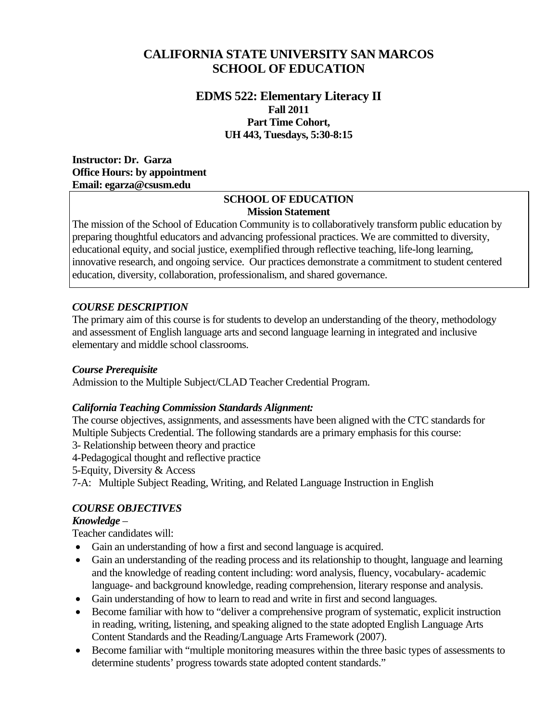# **CALIFORNIA STATE UNIVERSITY SAN MARCOS SCHOOL OF EDUCATION**

### **Part Time Cohort, EDMS 522: Elementary Literacy II Fall 2011 UH 443, Tuesdays, 5:30-8:15**

 **Instructor: Dr. Garza Office Hours: by appointment Email: egarza@csusm.edu** 

#### **SCHOOL OF EDUCATION Mission Statement**

The mission of the School of Education Community is to collaboratively transform public education by preparing thoughtful educators and advancing professional practices. We are committed to diversity, educational equity, and social justice, exemplified through reflective teaching, life-long learning, innovative research, and ongoing service. Our practices demonstrate a commitment to student centered education, diversity, collaboration, professionalism, and shared governance.

### *COURSE DESCRIPTION*

The primary aim of this course is for students to develop an understanding of the theory, methodology and assessment of English language arts and second language learning in integrated and inclusive elementary and middle school classrooms.

### *Course Prerequisite*

Admission to the Multiple Subject/CLAD Teacher Credential Program.

### *California Teaching Commission Standards Alignment:*

The course objectives, assignments, and assessments have been aligned with the CTC standards for Multiple Subjects Credential. The following standards are a primary emphasis for this course:

3- Relationship between theory and practice

4-Pedagogical thought and reflective practice

5-Equity, Diversity & Access

7-A: Multiple Subject Reading, Writing, and Related Language Instruction in English

# *COURSE OBJECTIVES*

### *Knowledge* –

Teacher candidates will:

- Gain an understanding of how a first and second language is acquired.
- Gain an understanding of the reading process and its relationship to thought, language and learning and the knowledge of reading content including: word analysis, fluency, vocabulary- academic language- and background knowledge, reading comprehension, literary response and analysis.
- Gain understanding of how to learn to read and write in first and second languages.
- Become familiar with how to "deliver a comprehensive program of systematic, explicit instruction in reading, writing, listening, and speaking aligned to the state adopted English Language Arts Content Standards and the Reading/Language Arts Framework (2007).
- Become familiar with "multiple monitoring measures within the three basic types of assessments to determine students' progress towards state adopted content standards."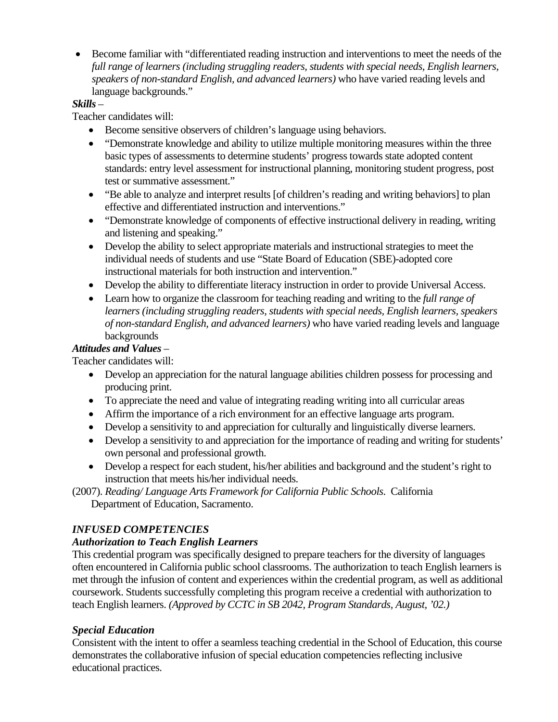Become familiar with "differentiated reading instruction and interventions to meet the needs of the *full range of learners (including struggling readers, students with special needs, English learners, speakers of non-standard English, and advanced learners)* who have varied reading levels and language backgrounds."

### *Skills* –

Teacher candidates will:

- Become sensitive observers of children's language using behaviors.
- "Demonstrate knowledge and ability to utilize multiple monitoring measures within the three basic types of assessments to determine students' progress towards state adopted content standards: entry level assessment for instructional planning, monitoring student progress, post test or summative assessment."
- "Be able to analyze and interpret results [of children's reading and writing behaviors] to plan effective and differentiated instruction and interventions."
- "Demonstrate knowledge of components of effective instructional delivery in reading, writing and listening and speaking."
- Develop the ability to select appropriate materials and instructional strategies to meet the individual needs of students and use "State Board of Education (SBE)-adopted core instructional materials for both instruction and intervention."
- Develop the ability to differentiate literacy instruction in order to provide Universal Access.
- Learn how to organize the classroom for teaching reading and writing to the *full range of learners (including struggling readers, students with special needs, English learners, speakers of non-standard English, and advanced learners)* who have varied reading levels and language backgrounds

### *Attitudes and Values* –

Teacher candidates will:

- Develop an appreciation for the natural language abilities children possess for processing and producing print.
- To appreciate the need and value of integrating reading writing into all curricular areas
- Affirm the importance of a rich environment for an effective language arts program.
- Develop a sensitivity to and appreciation for culturally and linguistically diverse learners.
- Develop a sensitivity to and appreciation for the importance of reading and writing for students' own personal and professional growth.
- Develop a respect for each student, his/her abilities and background and the student's right to instruction that meets his/her individual needs.
- (2007). *Reading/ Language Arts Framework for California Public Schools*. California Department of Education, Sacramento.

# *INFUSED COMPETENCIES*

# *Authorization to Teach English Learners*

This credential program was specifically designed to prepare teachers for the diversity of languages often encountered in California public school classrooms. The authorization to teach English learners is met through the infusion of content and experiences within the credential program, as well as additional coursework. Students successfully completing this program receive a credential with authorization to teach English learners. *(Approved by CCTC in SB 2042, Program Standards, August, '02.)* 

# *Special Education*

Consistent with the intent to offer a seamless teaching credential in the School of Education, this course demonstrates the collaborative infusion of special education competencies reflecting inclusive educational practices.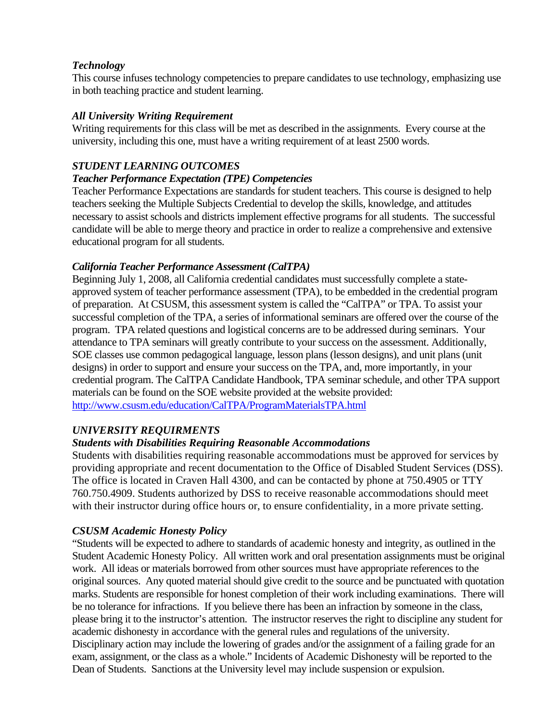#### *Technology*

This course infuses technology competencies to prepare candidates to use technology, emphasizing use in both teaching practice and student learning.

#### *All University Writing Requirement*

Writing requirements for this class will be met as described in the assignments. Every course at the university, including this one, must have a writing requirement of at least 2500 words.

### *STUDENT LEARNING OUTCOMES*

#### *Teacher Performance Expectation (TPE) Competencies*

Teacher Performance Expectations are standards for student teachers. This course is designed to help teachers seeking the Multiple Subjects Credential to develop the skills, knowledge, and attitudes necessary to assist schools and districts implement effective programs for all students. The successful candidate will be able to merge theory and practice in order to realize a comprehensive and extensive educational program for all students.

### *California Teacher Performance Assessment (CalTPA)*

Beginning July 1, 2008, all California credential candidates must successfully complete a stateapproved system of teacher performance assessment (TPA), to be embedded in the credential program of preparation. At CSUSM, this assessment system is called the "CalTPA" or TPA. To assist your successful completion of the TPA, a series of informational seminars are offered over the course of the program. TPA related questions and logistical concerns are to be addressed during seminars. Your attendance to TPA seminars will greatly contribute to your success on the assessment. Additionally, SOE classes use common pedagogical language, lesson plans (lesson designs), and unit plans (unit designs) in order to support and ensure your success on the TPA, and, more importantly, in your credential program. The CalTPA Candidate Handbook, TPA seminar schedule, and other TPA support materials can be found on the SOE website provided at the website provided: http://www.csusm.edu/education/CalTPA/ProgramMaterialsTPA.html

### *UNIVERSITY REQUIRMENTS*

### *Students with Disabilities Requiring Reasonable Accommodations*

Students with disabilities requiring reasonable accommodations must be approved for services by providing appropriate and recent documentation to the Office of Disabled Student Services (DSS). The office is located in Craven Hall 4300, and can be contacted by phone at 750.4905 or TTY 760.750.4909. Students authorized by DSS to receive reasonable accommodations should meet with their instructor during office hours or, to ensure confidentiality, in a more private setting.

### *CSUSM Academic Honesty Policy*

"Students will be expected to adhere to standards of academic honesty and integrity, as outlined in the Student Academic Honesty Policy. All written work and oral presentation assignments must be original work. All ideas or materials borrowed from other sources must have appropriate references to the original sources. Any quoted material should give credit to the source and be punctuated with quotation marks. Students are responsible for honest completion of their work including examinations. There will be no tolerance for infractions. If you believe there has been an infraction by someone in the class, please bring it to the instructor's attention. The instructor reserves the right to discipline any student for academic dishonesty in accordance with the general rules and regulations of the university. Disciplinary action may include the lowering of grades and/or the assignment of a failing grade for an exam, assignment, or the class as a whole." Incidents of Academic Dishonesty will be reported to the Dean of Students. Sanctions at the University level may include suspension or expulsion.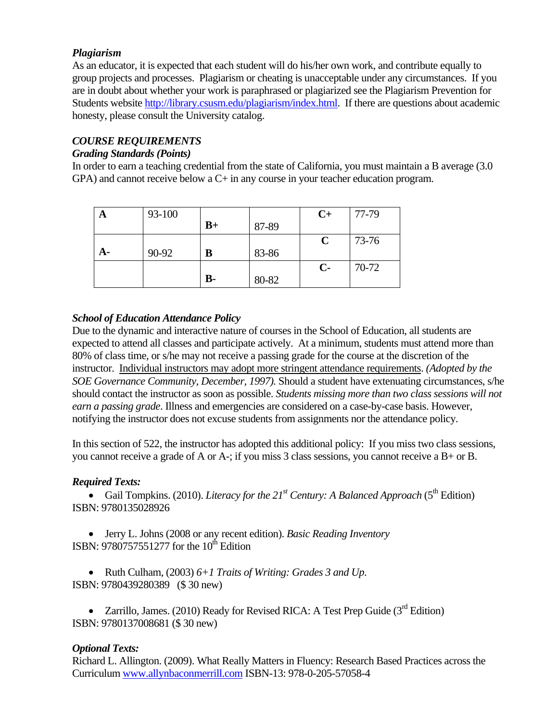### *Plagiarism*

As an educator, it is expected that each student will do his/her own work, and contribute equally to group projects and processes. Plagiarism or cheating is unacceptable under any circumstances. If you are in doubt about whether your work is paraphrased or plagiarized see the Plagiarism Prevention for Students website http://library.csusm.edu/plagiarism/index.html. If there are questions about academic honesty, please consult the University catalog.

# *COURSE REQUIREMENTS*

### *Grading Standards (Points)*

In order to earn a teaching credential from the state of California, you must maintain a B average (3.0 GPA) and cannot receive below a C+ in any course in your teacher education program.

| A  | 93-100 |           |       | $C+$         | 77-79 |
|----|--------|-----------|-------|--------------|-------|
|    |        | $B+$      | 87-89 |              |       |
|    |        |           |       | C            | 73-76 |
| A- | 90-92  | B         | 83-86 |              |       |
|    |        |           |       | $\mathbf{C}$ | 70-72 |
|    |        | <b>B-</b> | 80-82 |              |       |

### *School of Education Attendance Policy*

Due to the dynamic and interactive nature of courses in the School of Education, all students are expected to attend all classes and participate actively. At a minimum, students must attend more than 80% of class time, or s/he may not receive a passing grade for the course at the discretion of the instructor. Individual instructors may adopt more stringent attendance requirements. *(Adopted by the SOE Governance Community, December, 1997).* Should a student have extenuating circumstances, s/he should contact the instructor as soon as possible. *Students missing more than two class sessions will not earn a passing grade*. Illness and emergencies are considered on a case-by-case basis. However, notifying the instructor does not excuse students from assignments nor the attendance policy.

In this section of 522, the instructor has adopted this additional policy: If you miss two class sessions, you cannot receive a grade of A or A-; if you miss 3 class sessions, you cannot receive a B+ or B.

# *Required Texts:*

**Gail Tompkins.** (2010). *Literacy for the 21<sup>st</sup> Century: A Balanced Approach* ( $5^{\text{th}}$  Edition) ISBN: 9780135028926

• Jerry L. Johns (2008 or any recent edition). *Basic Reading Inventory* ISBN: 9780757551277 for the 10<sup>th</sup> Edition

 ISBN: 9780439280389 (\$ 30 new) Ruth Culham, (2003) *6+1 Traits of Writing: Grades 3 and Up*.

• Zarrillo, James. (2010) Ready for Revised RICA: A Test Prep Guide ( $3<sup>rd</sup>$  Edition) ISBN: 9780137008681 (\$ 30 new)

# *Optional Texts:*

Richard L. Allington. (2009). What Really Matters in Fluency: Research Based Practices across the Curriculum www.allynbaconmerrill.com ISBN-13: 978-0-205-57058-4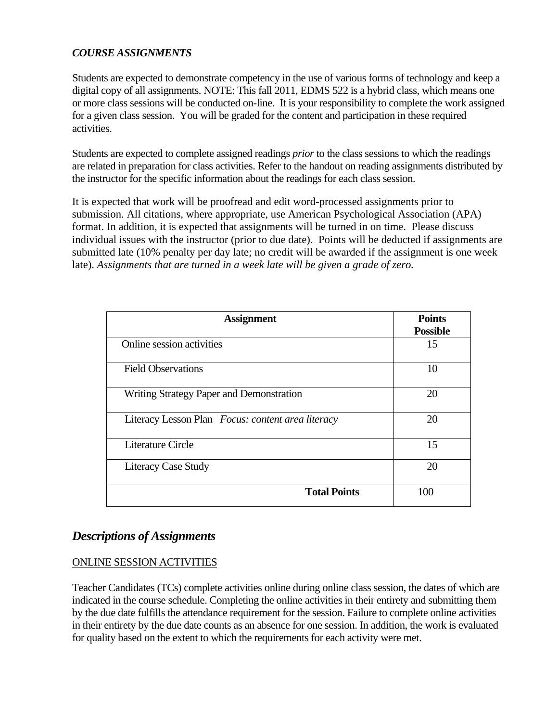#### *COURSE ASSIGNMENTS*

Students are expected to demonstrate competency in the use of various forms of technology and keep a digital copy of all assignments. NOTE: This fall 2011, EDMS 522 is a hybrid class, which means one or more class sessions will be conducted on-line. It is your responsibility to complete the work assigned for a given class session. You will be graded for the content and participation in these required activities.

Students are expected to complete assigned readings *prior* to the class sessions to which the readings are related in preparation for class activities. Refer to the handout on reading assignments distributed by the instructor for the specific information about the readings for each class session.

It is expected that work will be proofread and edit word-processed assignments prior to submission. All citations, where appropriate, use American Psychological Association (APA) format. In addition, it is expected that assignments will be turned in on time. Please discuss individual issues with the instructor (prior to due date). Points will be deducted if assignments are submitted late (10% penalty per day late; no credit will be awarded if the assignment is one week late). Assignments that are turned in a week late will be given a grade of zero.

| <b>Assignment</b>                                 | <b>Points</b><br><b>Possible</b> |
|---------------------------------------------------|----------------------------------|
| Online session activities                         | 15                               |
| <b>Field Observations</b>                         | 10                               |
| Writing Strategy Paper and Demonstration          | 20                               |
| Literacy Lesson Plan Focus: content area literacy | 20                               |
| Literature Circle                                 | 15                               |
| <b>Literacy Case Study</b>                        | 20                               |
| <b>Total Points</b>                               | 100                              |

# *Descriptions of Assignments*

### ONLINE SESSION ACTIVITIES

Teacher Candidates (TCs) complete activities online during online class session, the dates of which are indicated in the course schedule. Completing the online activities in their entirety and submitting them by the due date fulfills the attendance requirement for the session. Failure to complete online activities in their entirety by the due date counts as an absence for one session. In addition, the work is evaluated for quality based on the extent to which the requirements for each activity were met.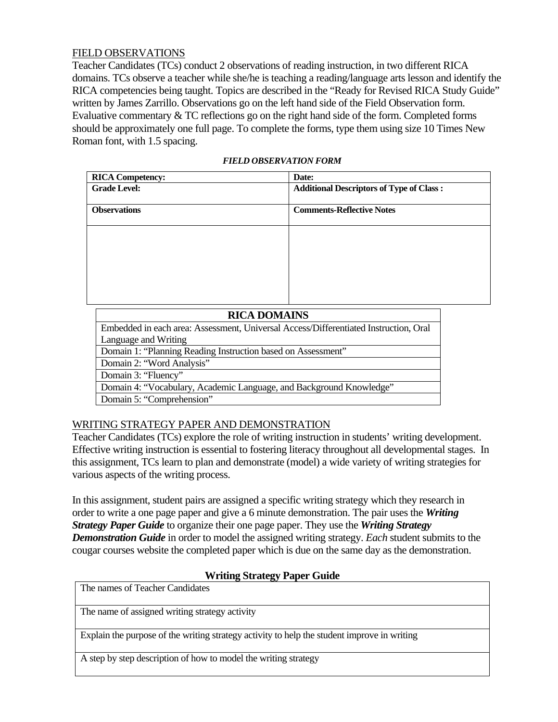#### FIELD OBSERVATIONS

Teacher Candidates (TCs) conduct 2 observations of reading instruction, in two different RICA domains. TCs observe a teacher while she/he is teaching a reading/language arts lesson and identify the RICA competencies being taught. Topics are described in the "Ready for Revised RICA Study Guide" written by James Zarrillo. Observations go on the left hand side of the Field Observation form. Evaluative commentary & TC reflections go on the right hand side of the form. Completed forms should be approximately one full page. To complete the forms, type them using size 10 Times New Roman font, with 1.5 spacing.

| <b>RICA Competency:</b> | Date:                                           |  |
|-------------------------|-------------------------------------------------|--|
| <b>Grade Level:</b>     | <b>Additional Descriptors of Type of Class:</b> |  |
|                         |                                                 |  |
| <b>Observations</b>     | <b>Comments-Reflective Notes</b>                |  |
|                         |                                                 |  |
|                         |                                                 |  |
|                         |                                                 |  |
|                         |                                                 |  |
|                         |                                                 |  |
|                         |                                                 |  |
|                         |                                                 |  |
|                         |                                                 |  |
|                         |                                                 |  |

| <b>RICA DOMAINS</b>                                                                  |  |  |  |
|--------------------------------------------------------------------------------------|--|--|--|
| Embedded in each area: Assessment, Universal Access/Differentiated Instruction, Oral |  |  |  |
| Language and Writing                                                                 |  |  |  |
| Domain 1: "Planning Reading Instruction based on Assessment"                         |  |  |  |
| Domain 2: "Word Analysis"                                                            |  |  |  |
| Domain 3: "Fluency"                                                                  |  |  |  |
| Domain 4: "Vocabulary, Academic Language, and Background Knowledge"                  |  |  |  |
| Domain 5: "Comprehension"                                                            |  |  |  |

### WRITING STRATEGY PAPER AND DEMONSTRATION

Teacher Candidates (TCs) explore the role of writing instruction in students' writing development. Effective writing instruction is essential to fostering literacy throughout all developmental stages. In this assignment, TCs learn to plan and demonstrate (model) a wide variety of writing strategies for various aspects of the writing process.

In this assignment, student pairs are assigned a specific writing strategy which they research in order to write a one page paper and give a 6 minute demonstration. The pair uses the *Writing Strategy Paper Guide* to organize their one page paper. They use the *Writing Strategy Demonstration Guide* in order to model the assigned writing strategy. *Each* student submits to the cougar courses website the completed paper which is due on the same day as the demonstration.

### **Writing Strategy Paper Guide**

| The names of Teacher Candidates |  |
|---------------------------------|--|
|---------------------------------|--|

The name of assigned writing strategy activity

Explain the purpose of the writing strategy activity to help the student improve in writing

A step by step description of how to model the writing strategy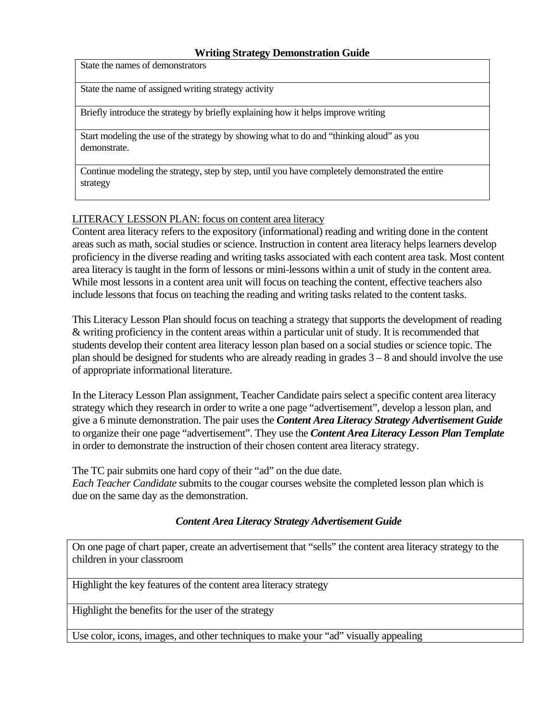#### **Writing Strategy Demonstration Guide**

State the names of demonstrators

State the name of assigned writing strategy activity

Briefly introduce the strategy by briefly explaining how it helps improve writing

Start modeling the use of the strategy by showing what to do and "thinking aloud" as you demonstrate.

Continue modeling the strategy, step by step, until you have completely demonstrated the entire strategy

#### LITERACY LESSON PLAN: focus on content area literacy

Content area literacy refers to the expository (informational) reading and writing done in the content areas such as math, social studies or science. Instruction in content area literacy helps learners develop proficiency in the diverse reading and writing tasks associated with each content area task. Most content area literacy is taught in the form of lessons or mini-lessons within a unit of study in the content area. While most lessons in a content area unit will focus on teaching the content, effective teachers also include lessons that focus on teaching the reading and writing tasks related to the content tasks.

 of appropriate informational literature. This Literacy Lesson Plan should focus on teaching a strategy that supports the development of reading & writing proficiency in the content areas within a particular unit of study. It is recommended that students develop their content area literacy lesson plan based on a social studies or science topic. The plan should be designed for students who are already reading in grades 3 – 8 and should involve the use

In the Literacy Lesson Plan assignment, Teacher Candidate pairs select a specific content area literacy strategy which they research in order to write a one page "advertisement", develop a lesson plan, and give a 6 minute demonstration. The pair uses the *Content Area Literacy Strategy Advertisement Guide* to organize their one page "advertisement". They use the *Content Area Literacy Lesson Plan Template* in order to demonstrate the instruction of their chosen content area literacy strategy.

The TC pair submits one hard copy of their "ad" on the due date. *Each Teacher Candidate* submits to the cougar courses website the completed lesson plan which is

due on the same day as the demonstration.

### *Content Area Literacy Strategy Advertisement Guide*

On one page of chart paper, create an advertisement that "sells" the content area literacy strategy to the children in your classroom

Highlight the key features of the content area literacy strategy

Highlight the benefits for the user of the strategy

Use color, icons, images, and other techniques to make your "ad" visually appealing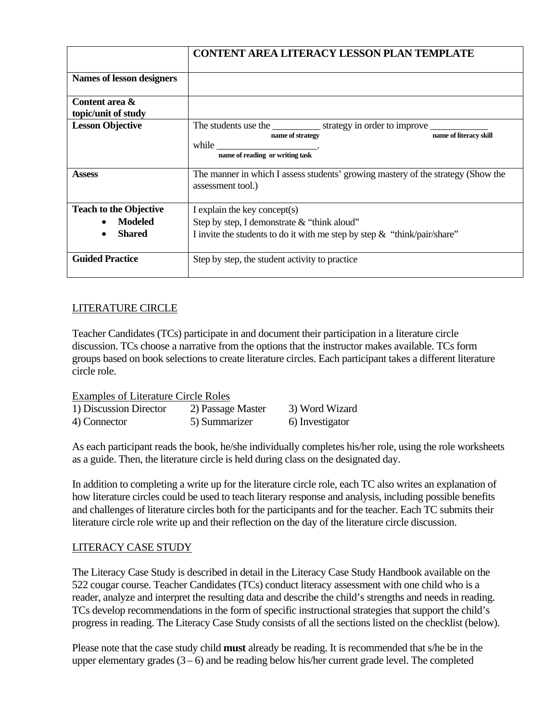|                                                                  | <b>CONTENT AREA LITERACY LESSON PLAN TEMPLATE</b>                                                                                                                                                                                                                                                                             |  |
|------------------------------------------------------------------|-------------------------------------------------------------------------------------------------------------------------------------------------------------------------------------------------------------------------------------------------------------------------------------------------------------------------------|--|
| Names of lesson designers                                        |                                                                                                                                                                                                                                                                                                                               |  |
| Content area &<br>topic/unit of study                            |                                                                                                                                                                                                                                                                                                                               |  |
| <b>Lesson Objective</b>                                          | The students use the <u>strategy</u> in order to improve set of the students use the strategy in order to improve set of the strategy in order to improve set of the strategy in order to improve set of the strategy in order to i<br>name of literacy skill<br>name of strategy<br>while<br>name of reading or writing task |  |
| <b>Assess</b>                                                    | The manner in which I assess students' growing mastery of the strategy (Show the<br>assessment tool.)                                                                                                                                                                                                                         |  |
| <b>Teach to the Objective</b><br><b>Modeled</b><br><b>Shared</b> | I explain the key concept(s)<br>Step by step, I demonstrate $&$ "think aloud"<br>I invite the students to do it with me step by step $\&$ "think/pair/share"                                                                                                                                                                  |  |
| <b>Guided Practice</b>                                           | Step by step, the student activity to practice                                                                                                                                                                                                                                                                                |  |

### LITERATURE CIRCLE

Teacher Candidates (TCs) participate in and document their participation in a literature circle discussion. TCs choose a narrative from the options that the instructor makes available. TCs form groups based on book selections to create literature circles. Each participant takes a different literature circle role.

2) Passage Master Examples of Literature Circle Roles 1) Discussion Director 2) Passage Master 3) Word Wizard 4) Connector 5) Summarizer 6) Investigator

As each participant reads the book, he/she individually completes his/her role, using the role worksheets as a guide. Then, the literature circle is held during class on the designated day.

In addition to completing a write up for the literature circle role, each TC also writes an explanation of how literature circles could be used to teach literary response and analysis, including possible benefits and challenges of literature circles both for the participants and for the teacher. Each TC submits their literature circle role write up and their reflection on the day of the literature circle discussion.

### LITERACY CASE STUDY

The Literacy Case Study is described in detail in the Literacy Case Study Handbook available on the 522 cougar course. Teacher Candidates (TCs) conduct literacy assessment with one child who is a reader, analyze and interpret the resulting data and describe the child's strengths and needs in reading. TCs develop recommendations in the form of specific instructional strategies that support the child's progress in reading. The Literacy Case Study consists of all the sections listed on the checklist (below).

Please note that the case study child **must** already be reading. It is recommended that s/he be in the upper elementary grades  $(3-6)$  and be reading below his/her current grade level. The completed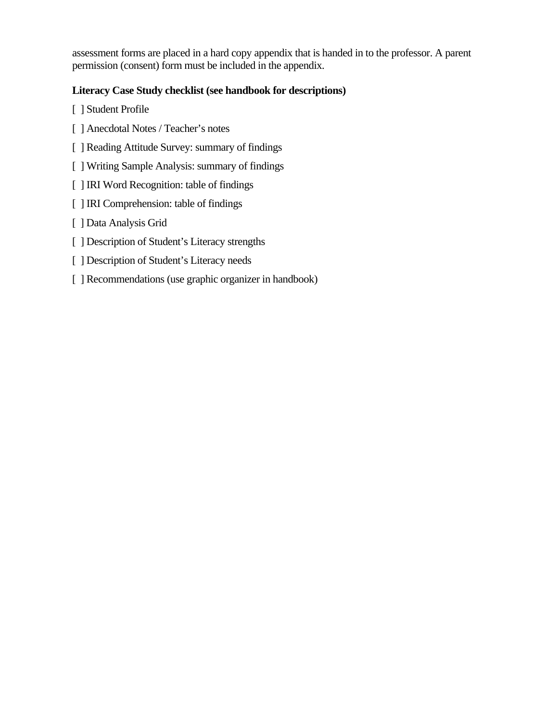assessment forms are placed in a hard copy appendix that is handed in to the professor. A parent permission (consent) form must be included in the appendix.

# **Literacy Case Study checklist (see handbook for descriptions)**

- [ ] Student Profile
- [ ] Anecdotal Notes / Teacher's notes
- [ ] Reading Attitude Survey: summary of findings
- [ ] Writing Sample Analysis: summary of findings
- [ ] IRI Word Recognition: table of findings
- [ ] IRI Comprehension: table of findings
- [ ] Data Analysis Grid
- [ ] Description of Student's Literacy strengths
- [ ] Description of Student's Literacy needs
- [ ] Recommendations (use graphic organizer in handbook)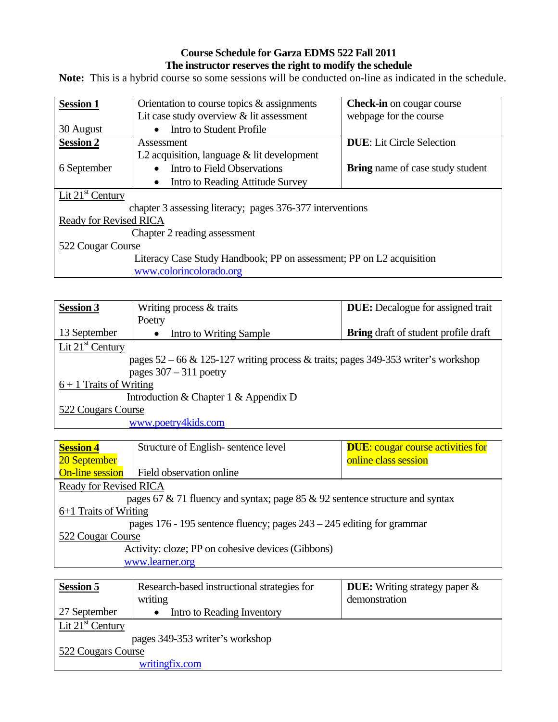### **Course Schedule for Garza EDMS 522 Fall 2011 The instructor reserves the right to modify the schedule**

Note: This is a hybrid course so some sessions will be conducted on-line as indicated in the schedule.

| <b>Session 1</b>                                                     | Orientation to course topics $\&$ assignments | <b>Check-in</b> on cougar course        |  |
|----------------------------------------------------------------------|-----------------------------------------------|-----------------------------------------|--|
|                                                                      | Lit case study overview $&$ lit assessment    | webpage for the course                  |  |
| 30 August                                                            | Intro to Student Profile                      |                                         |  |
| <b>Session 2</b>                                                     | Assessment                                    | <b>DUE:</b> Lit Circle Selection        |  |
|                                                                      | L2 acquisition, language $&$ lit development  |                                         |  |
| 6 September                                                          | Intro to Field Observations                   | <b>Bring</b> name of case study student |  |
|                                                                      | Intro to Reading Attitude Survey              |                                         |  |
| Lit $21st$ Century                                                   |                                               |                                         |  |
| chapter 3 assessing literacy; pages 376-377 interventions            |                                               |                                         |  |
| <b>Ready for Revised RICA</b>                                        |                                               |                                         |  |
| Chapter 2 reading assessment                                         |                                               |                                         |  |
| 522 Cougar Course                                                    |                                               |                                         |  |
| Literacy Case Study Handbook; PP on assessment; PP on L2 acquisition |                                               |                                         |  |
| www.colorincolorado.org                                              |                                               |                                         |  |

| <b>Session 3</b>                                                                       | Writing process $&$ traits | <b>DUE:</b> Decalogue for assigned trait    |  |
|----------------------------------------------------------------------------------------|----------------------------|---------------------------------------------|--|
|                                                                                        | Poetry                     |                                             |  |
| 13 September                                                                           | Intro to Writing Sample    | <b>Bring</b> draft of student profile draft |  |
| Lit $21st$ Century                                                                     |                            |                                             |  |
| pages $52 - 66 \& 125 - 127$ writing process & traits; pages 349-353 writer's workshop |                            |                                             |  |
| pages $307 - 311$ poetry                                                               |                            |                                             |  |
| $6 + 1$ Traits of Writing                                                              |                            |                                             |  |
| Introduction & Chapter 1 & Appendix D                                                  |                            |                                             |  |
| 522 Cougars Course                                                                     |                            |                                             |  |
| www.poetry4kids.com                                                                    |                            |                                             |  |

| <b>Session 4</b>                                                             | Structure of English-sentence level | <b>DUE:</b> cougar course activities for |  |
|------------------------------------------------------------------------------|-------------------------------------|------------------------------------------|--|
| 20 September                                                                 |                                     | online class session                     |  |
| <b>On-line session</b>                                                       | Field observation online            |                                          |  |
| Ready for Revised RICA                                                       |                                     |                                          |  |
| pages 67 & 71 fluency and syntax; page 85 & 92 sentence structure and syntax |                                     |                                          |  |
| 6+1 Traits of Writing                                                        |                                     |                                          |  |
| pages $176 - 195$ sentence fluency; pages $243 - 245$ editing for grammar    |                                     |                                          |  |
| 522 Cougar Course                                                            |                                     |                                          |  |
| Activity: cloze; PP on cohesive devices (Gibbons)                            |                                     |                                          |  |
| www.learner.org                                                              |                                     |                                          |  |

| <b>Session 5</b>                | Research-based instructional strategies for | <b>DUE:</b> Writing strategy paper $\&$ |  |
|---------------------------------|---------------------------------------------|-----------------------------------------|--|
|                                 | writing                                     | demonstration                           |  |
| 27 September                    | Intro to Reading Inventory                  |                                         |  |
| Lit $21st$ Century              |                                             |                                         |  |
| pages 349-353 writer's workshop |                                             |                                         |  |
| 522 Cougars Course              |                                             |                                         |  |
| writingfix.com                  |                                             |                                         |  |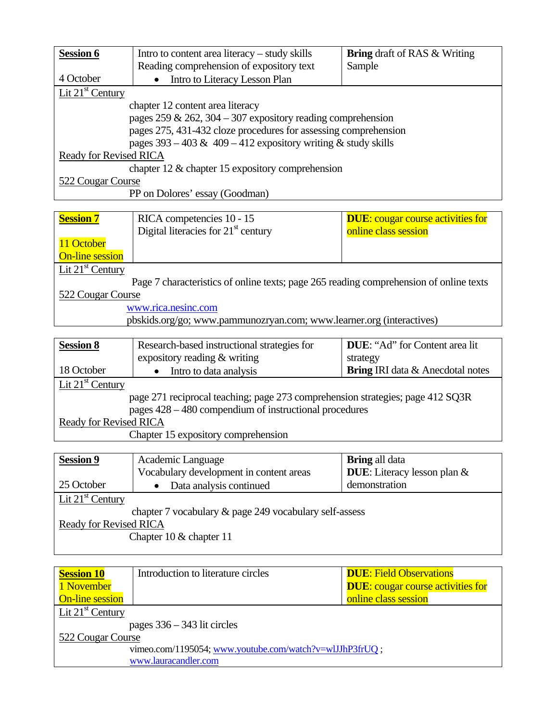| <b>Session 6</b>                                                 | Intro to content area literacy $-$ study skills<br>Reading comprehension of expository text | <b>Bring</b> draft of RAS & Writing<br>Sample |  |
|------------------------------------------------------------------|---------------------------------------------------------------------------------------------|-----------------------------------------------|--|
| 4 October                                                        | Intro to Literacy Lesson Plan                                                               |                                               |  |
| Lit $21st$ Century                                               |                                                                                             |                                               |  |
|                                                                  | chapter 12 content area literacy                                                            |                                               |  |
|                                                                  | pages 259 & 262, 304 – 307 expository reading comprehension                                 |                                               |  |
| pages 275, 431-432 cloze procedures for assessing comprehension  |                                                                                             |                                               |  |
| pages $393 - 403 \& 409 - 412$ expository writing & study skills |                                                                                             |                                               |  |
| Ready for Revised RICA                                           |                                                                                             |                                               |  |
| chapter 12 $\&$ chapter 15 expository comprehension              |                                                                                             |                                               |  |
| 522 Cougar Course                                                |                                                                                             |                                               |  |
| PP on Dolores' essay (Goodman)                                   |                                                                                             |                                               |  |

| <b>Session 7</b>       | RICA competencies 10 - 15                                                              | <b>DUE:</b> cougar course activities for |  |
|------------------------|----------------------------------------------------------------------------------------|------------------------------------------|--|
|                        | Digital literacies for $21st$ century                                                  | online class session                     |  |
| 11 October             |                                                                                        |                                          |  |
| <b>On-line session</b> |                                                                                        |                                          |  |
| Lit $21st$ Century     |                                                                                        |                                          |  |
|                        | Page 7 characteristics of online texts; page 265 reading comprehension of online texts |                                          |  |
| 522 Cougar Course      |                                                                                        |                                          |  |
| www.rica.nesinc.com    |                                                                                        |                                          |  |
|                        | pbskids.org/go; www.pammunozryan.com; www.learner.org (interactives)                   |                                          |  |

| <b>Session 8</b>                                                               | Research-based instructional strategies for | <b>DUE:</b> "Ad" for Content area lit   |
|--------------------------------------------------------------------------------|---------------------------------------------|-----------------------------------------|
|                                                                                | expository reading & writing                | strategy                                |
| 18 October                                                                     | Intro to data analysis                      | <b>Bring IRI</b> data & Anecdotal notes |
| Lit $21st$ Century                                                             |                                             |                                         |
| page 271 reciprocal teaching; page 273 comprehension strategies; page 412 SQ3R |                                             |                                         |
| pages $428 - 480$ compendium of instructional procedures                       |                                             |                                         |
| Ready for Revised RICA                                                         |                                             |                                         |

Chapter 15 expository comprehension

| Academic Language                                      | <b>Bring</b> all data              |  |
|--------------------------------------------------------|------------------------------------|--|
| Vocabulary development in content areas                | <b>DUE:</b> Literacy lesson plan & |  |
| Data analysis continued                                | demonstration                      |  |
| Lit $21st$ Century                                     |                                    |  |
| chapter 7 vocabulary & page 249 vocabulary self-assess |                                    |  |
| <b>Ready for Revised RICA</b>                          |                                    |  |
| Chapter 10 $&$ chapter 11                              |                                    |  |
|                                                        |                                    |  |

| <b>Session 10</b><br>1 November<br><b>On-line session</b> | Introduction to literature circles | <b>DUE: Field Observations</b><br><b>DUE:</b> cougar course activities for<br>online class session |
|-----------------------------------------------------------|------------------------------------|----------------------------------------------------------------------------------------------------|
| Lit $21st$ Century                                        |                                    |                                                                                                    |
| pages $336 - 343$ lit circles                             |                                    |                                                                                                    |
| 522 Cougar Course                                         |                                    |                                                                                                    |
| vimeo.com/1195054; www.youtube.com/watch?v=wlJJhP3frUQ;   |                                    |                                                                                                    |
| www.lauracandler.com                                      |                                    |                                                                                                    |